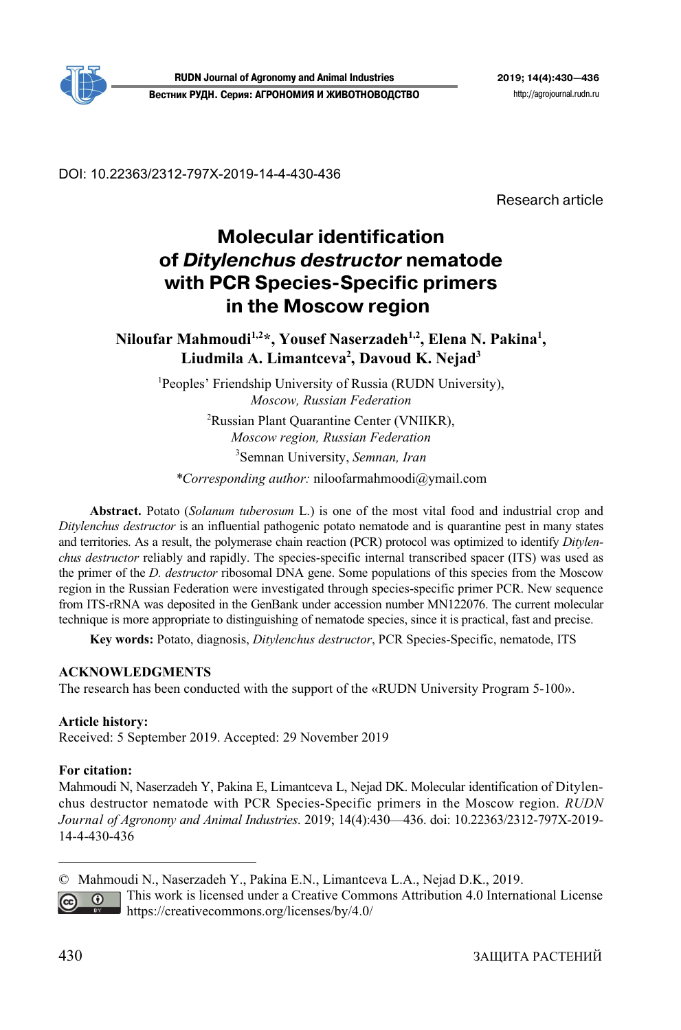

**RUDN Journal of Agronomy and Animal Industries 2019; 14(4):430—436 Вестник РУДН. Серия: АГРОНОМИЯ И ЖИВОТНОВОДСТВО** http://agrojournal.rudn.ru

DOI: 10.22363/2312-797X-2019-14-4-430-436

Research article

# **Molecular identification of** *Ditylenchus destructor* **nematode with PCR Species-Specific primers in the Moscow region**

Niloufar Mahmoudi<sup>1,2</sup>\*, Yousef Naserzadeh<sup>1,2</sup>, Elena N. Pakina<sup>1</sup>, Liudmila A. Limantceva<sup>2</sup>, Davoud K. Nejad<sup>3</sup>

<sup>1</sup>Peoples' Friendship University of Russia (RUDN University), *Moscow, Russian Federation* 

> 2 Russian Plant Quarantine Center (VNIIKR), *Moscow region, Russian Federation* 3 Semnan University, *Semnan, Iran*

*\*Corresponding author:* niloofarmahmoodi@ymail.com

**Abstract.** Potato (*Solanum tuberosum* L.) is one of the most vital food and industrial crop and *Ditylenchus destructor* is an influential pathogenic potato nematode and is quarantine pest in many states and territories. As a result, the polymerase chain reaction (PCR) protocol was optimized to identify *Ditylenchus destructor* reliably and rapidly. The species-specific internal transcribed spacer (ITS) was used as the primer of the *D. destructor* ribosomal DNA gene. Some populations of this species from the Moscow region in the Russian Federation were investigated through species-specific primer PCR. New sequence from ITS-rRNA was deposited in the GenBank under accession number MN122076. The current molecular technique is more appropriate to distinguishing of nematode species, since it is practical, fast and precise.

**Key words:** Potato, diagnosis, *Ditylenchus destructor*, PCR Species-Specific, nematode, ITS

#### **ACKNOWLEDGMENTS**

The research has been conducted with the support of the «RUDN University Program 5-100».

#### **Article history:**

Received: 5 September 2019. Accepted: 29 November 2019

#### **For citation:**

Mahmoudi N, Naserzadeh Y, Pakina E, Limantceva L, Nejad DK. Molecular identification of Ditylenchus destructor nematode with PCR Species-Specific primers in the Moscow region. *RUDN Journal of Agronomy and Animal Industries*. 2019; 14(4):430—436. doi: 10.22363/2312-797X-2019- 14-4-430-436

 $\overline{a}$ 

<sup>©</sup> Mahmoudi N., Naserzadeh Y., Pakina E.N., Limantceva L.A., Nejad D.K., 2019.

This work is licensed under a Creative Commons Attribution 4.0 International License  $\odot$ https://creativecommons.org/licenses/by/4.0/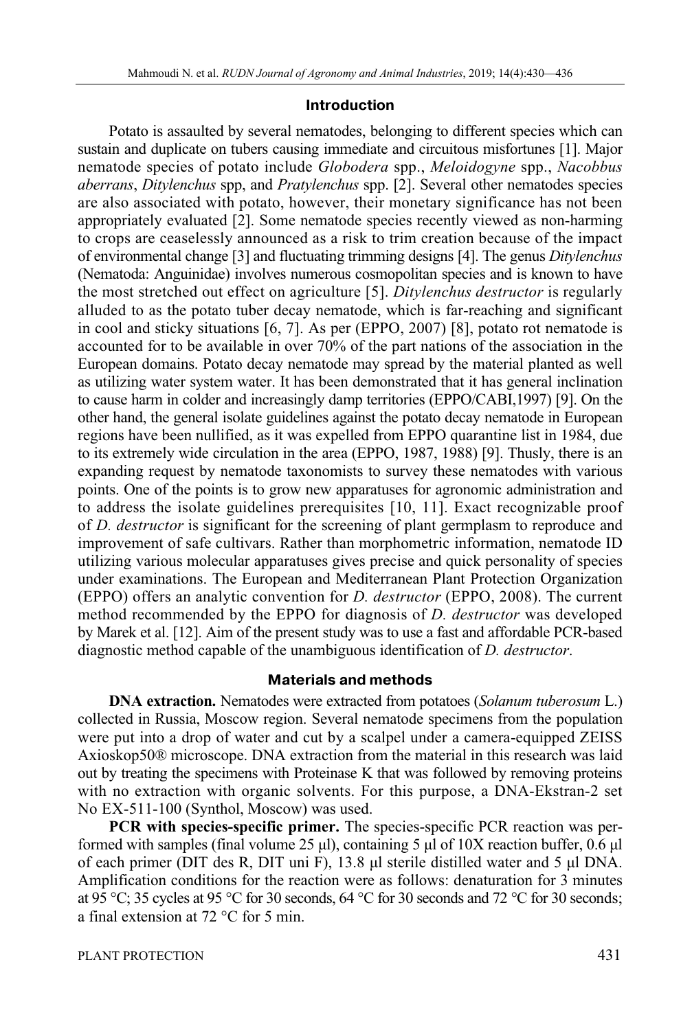#### **Introduction**

Potato is assaulted by several nematodes, belonging to different species which can sustain and duplicate on tubers causing immediate and circuitous misfortunes [1]. Major nematode species of potato include *Globodera* spp., *Meloidogyne* spp., *Nacobbus aberrans*, *Ditylenchus* spp, and *Pratylenchus* spp. [2]. Several other nematodes species are also associated with potato, however, their monetary significance has not been appropriately evaluated [2]. Some nematode species recently viewed as non-harming to crops are ceaselessly announced as a risk to trim creation because of the impact of environmental change [3] and fluctuating trimming designs [4]. The genus *Ditylenchus* (Nematoda: Anguinidae) involves numerous cosmopolitan species and is known to have the most stretched out effect on agriculture [5]. *Ditylenchus destructor* is regularly alluded to as the potato tuber decay nematode, which is far-reaching and significant in cool and sticky situations [6, 7]. As per (EPPO, 2007) [8], potato rot nematode is accounted for to be available in over 70% of the part nations of the association in the European domains. Potato decay nematode may spread by the material planted as well as utilizing water system water. It has been demonstrated that it has general inclination to cause harm in colder and increasingly damp territories (EPPO/CABI,1997) [9]. On the other hand, the general isolate guidelines against the potato decay nematode in European regions have been nullified, as it was expelled from EPPO quarantine list in 1984, due to its extremely wide circulation in the area (EPPO, 1987, 1988) [9]. Thusly, there is an expanding request by nematode taxonomists to survey these nematodes with various points. One of the points is to grow new apparatuses for agronomic administration and to address the isolate guidelines prerequisites [10, 11]. Exact recognizable proof of *D. destructor* is significant for the screening of plant germplasm to reproduce and improvement of safe cultivars. Rather than morphometric information, nematode ID utilizing various molecular apparatuses gives precise and quick personality of species under examinations. The European and Mediterranean Plant Protection Organization (EPPO) offers an analytic convention for *D. destructor* (EPPO, 2008). The current method recommended by the EPPO for diagnosis of *D. destructor* was developed by Marek et al. [12]. Aim of the present study was to use a fast and affordable PCR-based diagnostic method capable of the unambiguous identification of *D. destructor*.

# **Materials and methods**

**DNA extraction.** Nematodes were extracted from potatoes (*Solanum tuberosum* L.) collected in Russia, Moscow region. Several nematode specimens from the population were put into a drop of water and cut by a scalpel under a camera-equipped ZEISS Axioskop50® microscope. DNA extraction from the material in this research was laid out by treating the specimens with Proteinase K that was followed by removing proteins with no extraction with organic solvents. For this purpose, a DNA-Ekstran-2 set No EX-511-100 (Synthol, Moscow) was used.

**PCR with species-specific primer.** The species-specific PCR reaction was performed with samples (final volume 25 μl), containing 5 μl of 10X reaction buffer, 0.6 μl of each primer (DIT des R, DIT uni F), 13.8 μl sterile distilled water and 5 μl DNA. Amplification conditions for the reaction were as follows: denaturation for 3 minutes at 95 °C; 35 cycles at 95 °C for 30 seconds, 64 °C for 30 seconds and 72 °C for 30 seconds; a final extension at 72 °C for 5 min.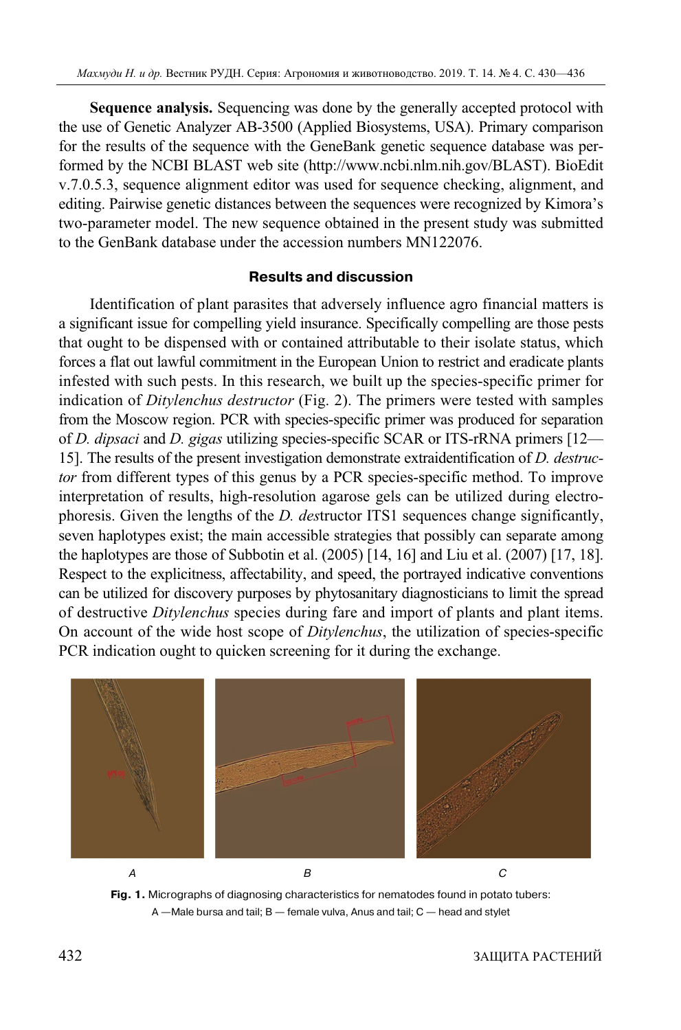**Sequence analysis.** Sequencing was done by the generally accepted protocol with the use of Genetic Analyzer AB-3500 (Applied Biosystems, USA). Primary comparison for the results of the sequence with the GeneBank genetic sequence database was performed by the NCBI BLAST web site (http://www.ncbi.nlm.nih.gov/BLAST). BioEdit v.7.0.5.3, sequence alignment editor was used for sequence checking, alignment, and editing. Pairwise genetic distances between the sequences were recognized by Kimora's two-parameter model. The new sequence obtained in the present study was submitted to the GenBank database under the accession numbers MN122076.

# **Results and discussion**

Identification of plant parasites that adversely influence agro financial matters is a significant issue for compelling yield insurance. Specifically compelling are those pests that ought to be dispensed with or contained attributable to their isolate status, which forces a flat out lawful commitment in the European Union to restrict and eradicate plants infested with such pests. In this research, we built up the species-specific primer for indication of *Ditylenchus destructor* (Fig. 2). The primers were tested with samples from the Moscow region. PCR with species-specific primer was produced for separation of *D. dipsaci* and *D. gigas* utilizing species-specific SCAR or ITS-rRNA primers [12— 15]. The results of the present investigation demonstrate extraidentification of *D. destructor* from different types of this genus by a PCR species-specific method. To improve interpretation of results, high-resolution agarose gels can be utilized during electrophoresis. Given the lengths of the *D. des*tructor ITS1 sequences change significantly, seven haplotypes exist; the main accessible strategies that possibly can separate among the haplotypes are those of Subbotin et al. (2005) [14, 16] and Liu et al. (2007) [17, 18]. Respect to the explicitness, affectability, and speed, the portrayed indicative conventions can be utilized for discovery purposes by phytosanitary diagnosticians to limit the spread of destructive *Ditylenchus* species during fare and import of plants and plant items. On account of the wide host scope of *Ditylenchus*, the utilization of species-specific PCR indication ought to quicken screening for it during the exchange.



**Fig. 1.** Micrographs of diagnosing characteristics for nematodes found in potato tubers: A —Male bursa and tail; B — female vulva, Anus and tail; C — head and stylet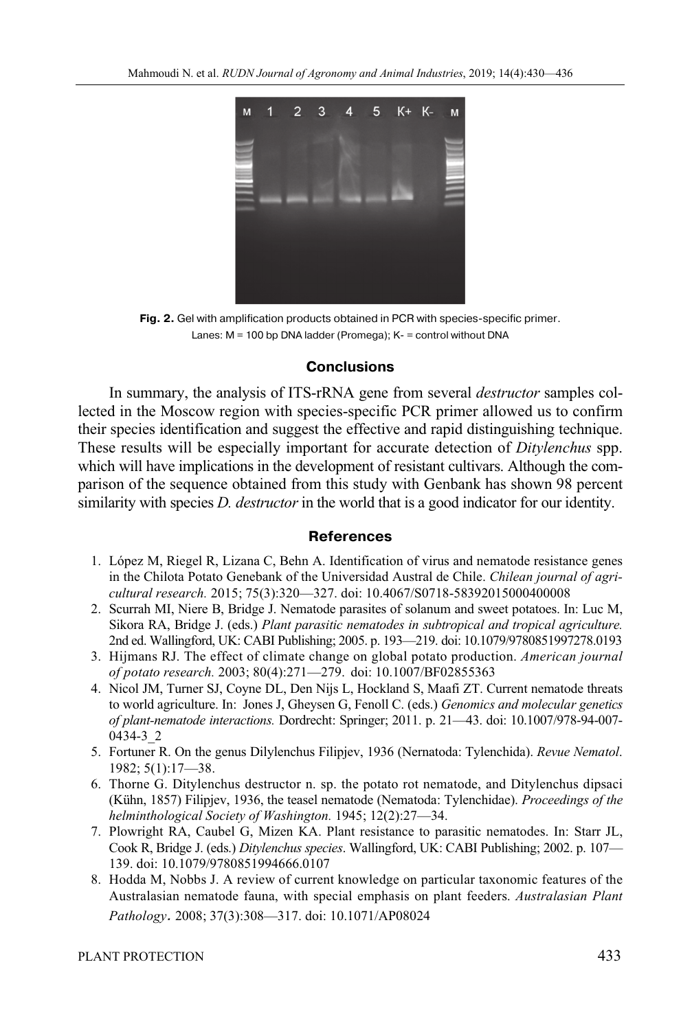

**Fig. 2.** Gel with amplification products obtained in PCR with species-specific primer. Lanes: M = 100 bp DNA ladder (Promega); K- = control without DNA

#### **Conclusions**

In summary, the analysis of ITS-rRNA gene from several *destructor* samples collected in the Moscow region with species-specific PCR primer allowed us to confirm their species identification and suggest the effective and rapid distinguishing technique. These results will be especially important for accurate detection of *Ditylenchus* spp. which will have implications in the development of resistant cultivars. Although the comparison of the sequence obtained from this study with Genbank has shown 98 percent similarity with species *D. destructor* in the world that is a good indicator for our identity.

#### **References**

- 1. López M, Riegel R, Lizana C, Behn A. Identification of virus and nematode resistance genes in the Chilota Potato Genebank of the Universidad Austral de Chile. *Chilean journal of agricultural research.* 2015; 75(3):320—327. doi: 10.4067/S0718-58392015000400008
- 2. Scurrah MI, Niere B, Bridge J. Nematode parasites of solanum and sweet potatoes. In: Luc M, Sikora RA, Bridge J. (eds.) *Plant parasitic nematodes in subtropical and tropical agriculture.*  2nd ed. Wallingford, UK: CABI Publishing; 2005. p. 193—219. doi: 10.1079/9780851997278.0193
- 3. Hijmans RJ. The effect of climate change on global potato production. *American journal of potato research.* 2003; 80(4):271—279. doi: 10.1007/BF02855363
- 4. Nicol JM, Turner SJ, Coyne DL, Den Nijs L, Hockland S, Maafi ZT. Current nematode threats to world agriculture. In: Jones J, Gheysen G, Fenoll C. (eds.) *Genomics and molecular genetics of plant-nematode interactions.* Dordrecht: Springer; 2011. p. 21—43. doi: 10.1007/978-94-007- 0434-3\_2
- 5. Fortuner R. On the genus Dilylenchus Filipjev, 1936 (Nernatoda: Tylenchida). *Revue Nematol*. 1982; 5(1):17—38.
- 6. Thorne G. Ditylenchus destructor n. sp. the potato rot nematode, and Ditylenchus dipsaci (Kühn, 1857) Filipjev, 1936, the teasel nematode (Nematoda: Tylenchidae). *Proceedings of the helminthological Society of Washington.* 1945; 12(2):27—34.
- 7. Plowright RA, Caubel G, Mizen KA. Plant resistance to parasitic nematodes. In: Starr JL, Cook R, Bridge J. (eds.) *Ditylenchus species*. Wallingford, UK: CABI Publishing; 2002. p. 107— 139. doi: 10.1079/9780851994666.0107
- 8. Hodda M, Nobbs J. A review of current knowledge on particular taxonomic features of the Australasian nematode fauna, with special emphasis on plant feeders. *Australasian Plant Pathology.* 2008; 37(3):308—317. doi: 10.1071/AP08024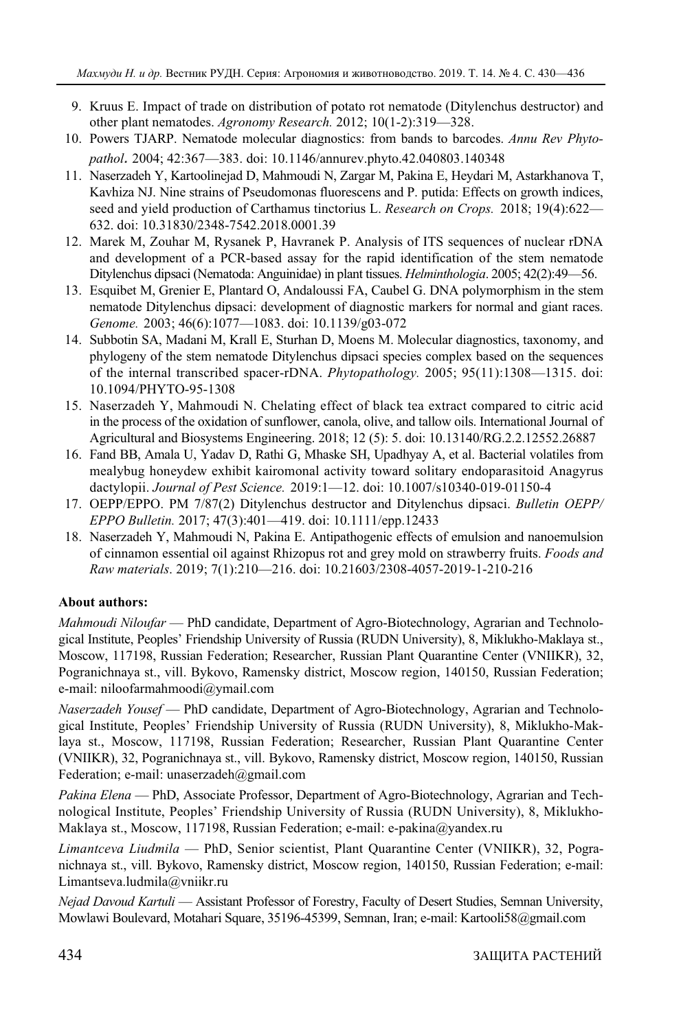- 9. Kruus E. Impact of trade on distribution of potato rot nematode (Ditylenchus destructor) and other plant nematodes. *Agronomy Research.* 2012; 10(1-2):319—328.
- 10. Powers TJARP. Nematode molecular diagnostics: from bands to barcodes. *Annu Rev Phytopathol.* 2004; 42:367—383. doi: 10.1146/annurev.phyto.42.040803.140348
- 11. Naserzadeh Y, Kartoolinejad D, Mahmoudi N, Zargar M, Pakina E, Heydari M, Astarkhanova T, Kavhiza NJ. Nine strains of Pseudomonas fluorescens and P. putida: Effects on growth indices, seed and yield production of Carthamus tinctorius L. *Research on Crops.* 2018; 19(4):622— 632. doi: 10.31830/2348-7542.2018.0001.39
- 12. Marek M, Zouhar M, Rysanek P, Havranek P. Analysis of ITS sequences of nuclear rDNA and development of a PCR-based assay for the rapid identification of the stem nematode Ditylenchus dipsaci (Nematoda: Anguinidae) in plant tissues. *Helminthologia*. 2005; 42(2):49—56.
- 13. Esquibet M, Grenier E, Plantard O, Andaloussi FA, Caubel G. DNA polymorphism in the stem nematode Ditylenchus dipsaci: development of diagnostic markers for normal and giant races. *Genome.* 2003; 46(6):1077—1083. doi: 10.1139/g03-072
- 14. Subbotin SA, Madani M, Krall E, Sturhan D, Moens M. Molecular diagnostics, taxonomy, and phylogeny of the stem nematode Ditylenchus dipsaci species complex based on the sequences of the internal transcribed spacer-rDNA. *Phytopathology.* 2005; 95(11):1308—1315. doi: 10.1094/PHYTO-95-1308
- 15. Naserzadeh Y, Mahmoudi N. Chelating effect of black tea extract compared to citric acid in the process of the oxidation of sunflower, canola, olive, and tallow oils. International Journal of Agricultural and Biosystems Engineering. 2018; 12 (5): 5. doi: 10.13140/RG.2.2.12552.26887
- 16. Fand BB, Amala U, Yadav D, Rathi G, Mhaske SH, Upadhyay A, et al. Bacterial volatiles from mealybug honeydew exhibit kairomonal activity toward solitary endoparasitoid Anagyrus dactylopii. *Journal of Pest Science.* 2019:1—12. doi: 10.1007/s10340-019-01150-4
- 17. OEPP/EPPO. PM 7/87(2) Ditylenchus destructor and Ditylenchus dipsaci. *Bulletin OEPP/ EPPO Bulletin.* 2017; 47(3):401—419. doi: 10.1111/epp.12433
- 18. Naserzadeh Y, Mahmoudi N, Pakina E. Antipathogenic effects of emulsion and nanoemulsion of cinnamon essential oil against Rhizopus rot and grey mold on strawberry fruits. *Foods and Raw materials*. 2019; 7(1):210—216. doi: 10.21603/2308-4057-2019-1-210-216

# **About authors:**

*Mahmoudi Niloufar* — PhD candidate, Department of Agro-Biotechnology, Agrarian and Technological Institute, Peoples' Friendship University of Russia (RUDN University), 8, Miklukho-Maklaya st., Moscow, 117198, Russian Federation; Researcher, Russian Plant Quarantine Center (VNIIKR), 32, Pogranichnaya st., vill. Bykovo, Ramensky district, Moscow region, 140150, Russian Federation; e-mail: niloofarmahmoodi@ymail.com

*Naserzadeh Yousef* — PhD candidate, Department of Agro-Biotechnology, Agrarian and Technological Institute, Peoples' Friendship University of Russia (RUDN University), 8, Miklukho-Maklaya st., Moscow, 117198, Russian Federation; Researcher, Russian Plant Quarantine Center (VNIIKR), 32, Pogranichnaya st., vill. Bykovo, Ramensky district, Moscow region, 140150, Russian Federation; e-mail: unaserzadeh@gmail.com

*Pakina Elena* — PhD, Associate Professor, Department of Agro-Biotechnology, Agrarian and Technological Institute, Peoples' Friendship University of Russia (RUDN University), 8, Miklukho-Maklaya st., Moscow, 117198, Russian Federation; e-mail: e-pakina@yandex.ru

*Limantceva Liudmila* — PhD, Senior scientist, Plant Quarantine Center (VNIIKR), 32, Pogranichnaya st., vill. Bykovo, Ramensky district, Moscow region, 140150, Russian Federation; e-mail: Limantseva.ludmila@vniikr.ru

*Nejad Davoud Kartuli* — Assistant Professor of Forestry, Faculty of Desert Studies, Semnan University, Mowlawi Boulevard, Motahari Square, 35196-45399, Semnan, Iran; e-mail: Kartooli58@gmail.com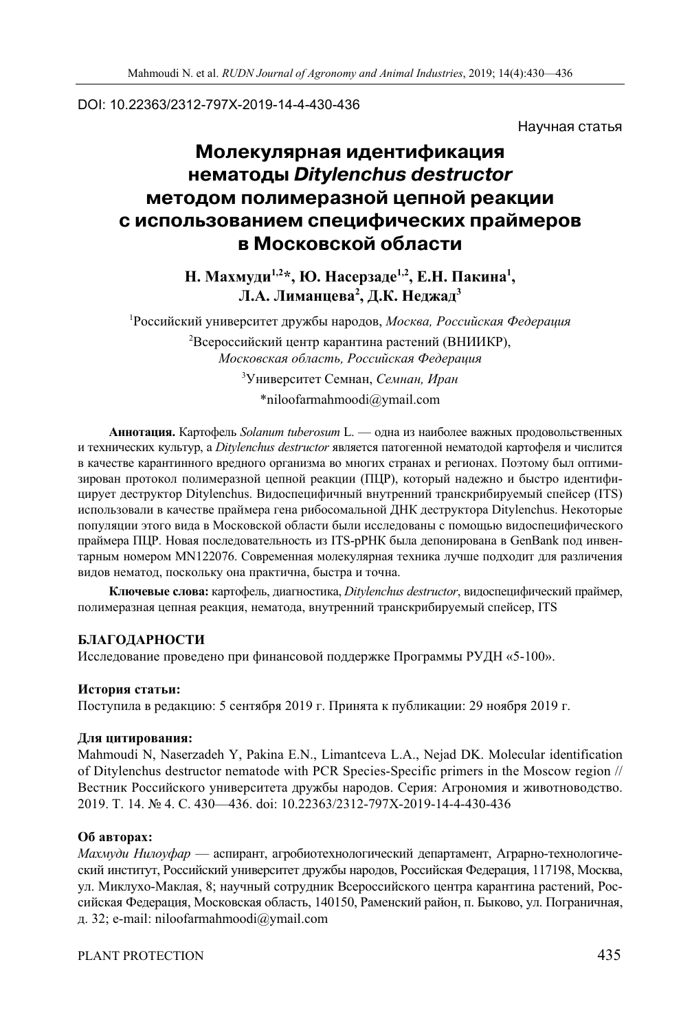### DOI: 10.22363/2312-797X-2019-14-4-430-436

Научная статья

# **Молекулярная идентификация нематоды** *Ditylenchus destructor* **методом полимеразной цепной реакции с использованием специфических праймеров в Московской области**

Н. Махмуди<sup>1,2</sup>\*, Ю. Насерзаде<sup>1,2</sup>, Е.Н. Пакина<sup>1</sup>, **Л.А. Лиманцева2 , Д.К. Неджад3**

1 Российский университет дружбы народов, *Москва, Российская Федерация*  $^2$ Всероссийский центр карантина растений (ВНИИКР), *Московская область, Российская Федерация*

3 Университет Семнан, *Семнан, Иран* \*niloofarmahmoodi@ymail.com

**Аннотация.** Картофель *Solanum tuberosum* L. — одна из наиболее важных продовольственных и технических культур, а *Ditylenchus destructor* является патогенной нематодой картофеля и числится в качестве карантинного вредного организма во многих странах и регионах. Поэтому был оптимизирован протокол полимеразной цепной реакции (ПЦР), который надежно и быстро идентифицирует деструктор Ditylenchus. Видоспецифичный внутренний транскрибируемый спейсер (ITS) использовали в качестве праймера гена рибосомальной ДНК деструктора Ditylenchus. Некоторые популяции этого вида в Московской области были исследованы с помощью видоспецифического праймера ПЦР. Новая последовательность из ITS-рРНК была депонирована в GenBank под инвентарным номером MN122076. Современная молекулярная техника лучше подходит для различения видов нематод, поскольку она практична, быстра и точна.

**Ключевые слова:** картофель, диагностика, *Ditylenchus destructor*, видоспецифический праймер, полимеразная цепная реакция, нематода, внутренний транскрибируемый спейсер, ITS

# **БЛАГОДАРНОСТИ**

Исследование проведено при финансовой поддержке Программы РУДН «5-100».

#### **История статьи:**

Поступила в редакцию: 5 сентября 2019 г. Принята к публикации: 29 ноября 2019 г.

#### **Для цитирования:**

Mahmoudi N, Naserzadeh Y, Pakina E.N., Limantceva L.A., Nejad DK. Molecular identification of Ditylenchus destructor nematode with PCR Species-Specific primers in the Moscow region // Вестник Российского университета дружбы народов. Серия: Агрономия и животноводство. 2019. Т. 14. № 4. С. 430—436. doi: 10.22363/2312-797X-2019-14-4-430-436

#### **Об авторах:**

*Махмуди Нилоуфар* — аспирант, агробиотехнологический департамент, Аграрно-технологический институт, Российский университет дружбы народов, Российская Федерация, 117198, Москва, ул. Миклухо-Маклая, 8; научный сотрудник Всероссийского центра карантина растений, Российская Федерация, Московская область, 140150, Раменский район, п. Быково, ул. Пограничная, д. 32; e-mail: niloofarmahmoodi@ymail.com